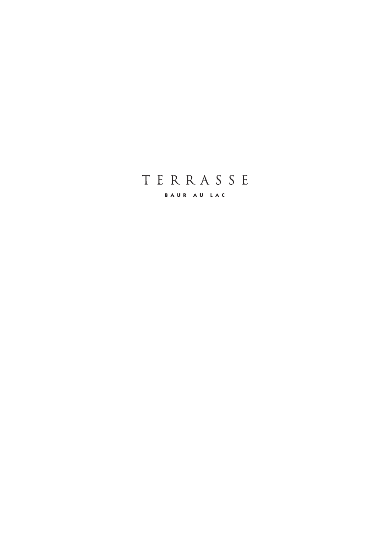# TERRASSE

BAUR AU LAC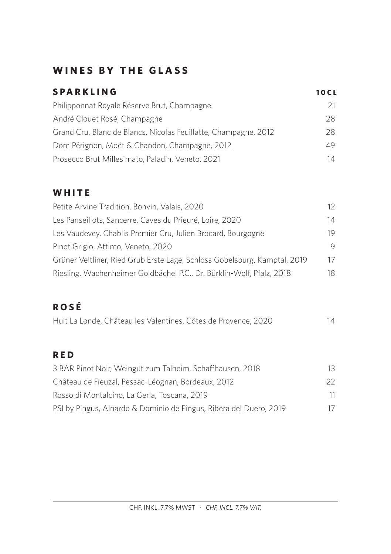# **WINES BY THE GLASS**

| <b>SPARKLING</b>                                                | <b>10CL</b> |
|-----------------------------------------------------------------|-------------|
| Philipponnat Royale Réserve Brut, Champagne                     | 21.         |
| André Clouet Rosé, Champagne                                    | 28.         |
| Grand Cru, Blanc de Blancs, Nicolas Feuillatte, Champagne, 2012 | 28.         |
| Dom Pérignon, Moët & Chandon, Champagne, 2012                   | 49.         |
| Prosecco Brut Millesimato, Paladin, Veneto, 2021                | 14          |

### **WHITE**

| Petite Arvine Tradition, Bonvin, Valais, 2020                             | 12 |
|---------------------------------------------------------------------------|----|
| Les Panseillots, Sancerre, Caves du Prieuré, Loire, 2020                  | 14 |
| Les Vaudevey, Chablis Premier Cru, Julien Brocard, Bourgogne              | 19 |
| Pinot Grigio, Attimo, Veneto, 2020                                        | 9  |
| Grüner Veltliner, Ried Grub Erste Lage, Schloss Gobelsburg, Kamptal, 2019 | 17 |
| Riesling, Wachenheimer Goldbächel P.C., Dr. Bürklin-Wolf, Pfalz, 2018     | 18 |

# **ROSÉ**

| Huit La Londe, Château les Valentines, Côtes de Provence, 2020 |  |  |  |  |  | 14 |
|----------------------------------------------------------------|--|--|--|--|--|----|
|----------------------------------------------------------------|--|--|--|--|--|----|

### **RED**

| 3 BAR Pinot Noir, Weingut zum Talheim, Schaffhausen, 2018          | 13.  |
|--------------------------------------------------------------------|------|
| Château de Fieuzal, Pessac-Léognan, Bordeaux, 2012                 | $22$ |
| Rosso di Montalcino, La Gerla, Toscana, 2019                       | 11.  |
| PSI by Pingus, Alnardo & Dominio de Pingus, Ribera del Duero, 2019 | 17   |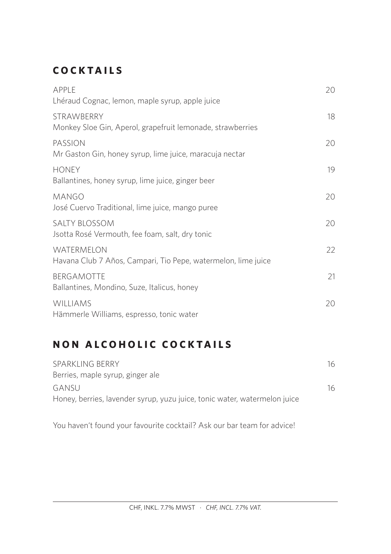# **COCKTAILS**

| APPLE<br>Lhéraud Cognac, lemon, maple syrup, apple juice                        | 20 |
|---------------------------------------------------------------------------------|----|
|                                                                                 |    |
| <b>STRAWBERRY</b><br>Monkey Sloe Gin, Aperol, grapefruit lemonade, strawberries | 18 |
| PASSION<br>Mr Gaston Gin, honey syrup, lime juice, maracuja nectar              | 20 |
| <b>HONEY</b><br>Ballantines, honey syrup, lime juice, ginger beer               | 19 |
| MANGO<br>José Cuervo Traditional, lime juice, mango puree                       | 20 |
| <b>SALTY BLOSSOM</b><br>Jsotta Rosé Vermouth, fee foam, salt, dry tonic         | 20 |
| WATERMELON<br>Havana Club 7 Años, Campari, Tio Pepe, watermelon, lime juice     | 22 |
| <b>BERGAMOTTE</b><br>Ballantines, Mondino, Suze, Italicus, honey                | 21 |
| <b>WILLIAMS</b><br>Hämmerle Williams, espresso, tonic water                     | 20 |

# **NON ALCOHOLIC COCKTAILS**

| SPARKLING BERRY<br>Berries, maple syrup, ginger ale                       | 16  |
|---------------------------------------------------------------------------|-----|
| GANSU                                                                     | 16. |
| Honey, berries, lavender syrup, yuzu juice, tonic water, watermelon juice |     |

You haven't found your favourite cocktail? Ask our bar team for advice!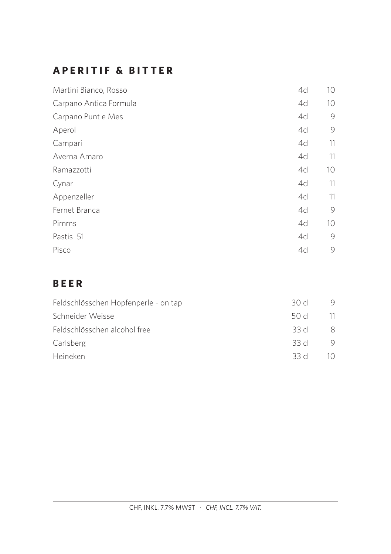# **APERITIF & BITTER**

| Martini Bianco, Rosso  | 4c | 10 <sup>°</sup> |
|------------------------|----|-----------------|
| Carpano Antica Formula | 4c | 10 <sup>°</sup> |
| Carpano Punt e Mes     | 4c | 9               |
| Aperol                 | 4c | 9               |
| Campari                | 4c | 11              |
| Averna Amaro           | 4c | 11              |
| Ramazzotti             | 4c | 10 <sup>°</sup> |
| Cynar                  | 4c | 11              |
| Appenzeller            | 4c | 11              |
| Fernet Branca          | 4c | 9               |
| Pimms                  | 4c | 10 <sup>°</sup> |
| Pastis 51              | 4c | 9               |
| Pisco                  | 4c | 9               |

# **BEER**

| Feldschlösschen Hopfenperle - on tap | 30 d    |     |
|--------------------------------------|---------|-----|
| Schneider Weisse                     | 50 cl   | -11 |
| Feldschlösschen alcohol free         | 33 d    | 8   |
| Carlsberg                            | 33 $cl$ | 9   |
| Heineken                             | 33c     |     |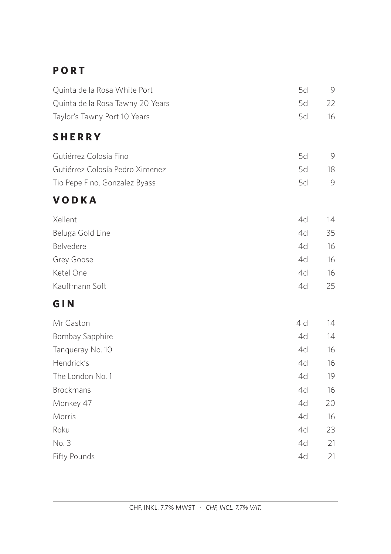# **P O R T**

| Quinta de la Rosa White Port     | 5c     | - 9 |
|----------------------------------|--------|-----|
| Quinta de la Rosa Tawny 20 Years | 5cl 22 |     |
| Taylor's Tawny Port 10 Years     | 5cl -  | -16 |

# **SHERRY**

| Gutiérrez Colosía Fino          | 501.  |  |
|---------------------------------|-------|--|
| Gutiérrez Colosía Pedro Ximenez | 5d 18 |  |
| Tio Pepe Fino, Gonzalez Byass   | 50 9  |  |

# **VODKA**

| Xellent          | 4cl             | 14 |
|------------------|-----------------|----|
| Beluga Gold Line | 4c              | 35 |
| Belvedere        | 4c              | 16 |
| Grey Goose       | 4c <sub>l</sub> | 16 |
| Ketel One        | 4c              | 16 |
| Kauffmann Soft   | 4cl             | 25 |

# **GIN**

| $4$ c | 14 |
|-------|----|
| 4c    | 14 |
| 4c    | 16 |
| 4c    | 16 |
| 4c    | 19 |
| 4c    | 16 |
| 4c    | 20 |
| 4c    | 16 |
| 4c    | 23 |
| 4c    | 21 |
| 4c    | 21 |
|       |    |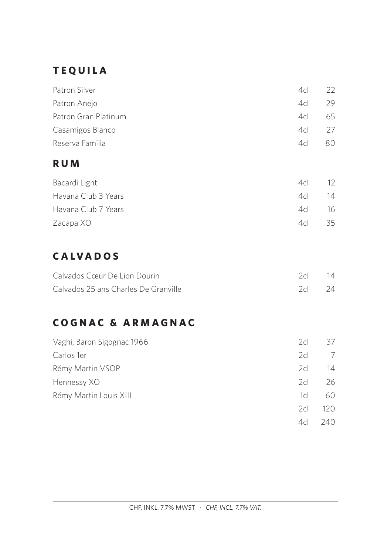# **TEQUILA**

| Patron Silver        | 4c <sub>l</sub> | 22  |
|----------------------|-----------------|-----|
| Patron Anejo         | 4c              | 29  |
| Patron Gran Platinum | 4c              | 65  |
| Casamigos Blanco     | 4c              | 27  |
| Reserva Familia      | 4c <sub>l</sub> | 80. |

## **RUM**

| Bacardi Light       | 4c | $12 \overline{ }$ |
|---------------------|----|-------------------|
| Havana Club 3 Years | 4c | 14                |
| Havana Club 7 Years | 4c | - 16              |
| Zacapa XO           | 4c | 35                |

# **CALVADOS**

| Calvados Cœur De Lion Dourin         | $2c$ 14 |  |
|--------------------------------------|---------|--|
| Calvados 25 ans Charles De Granville | $2c$ 24 |  |

# **COGNAC & ARMAGNAC**

| Vaghi, Baron Sigognac 1966 | 2 <sub>cl</sub> | 37   |
|----------------------------|-----------------|------|
| Carlos 1er                 | 2c              | 7    |
| Rémy Martin VSOP           | 2c              | 14   |
| Hennessy XO                | 2cl             | 26   |
| Rémy Martin Louis XIII     | 1cl             | 60   |
|                            | 2c              | 120  |
|                            | 4c              | 240. |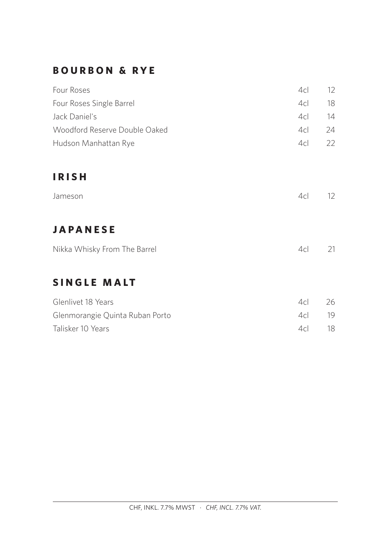### **BOURBON & RYE**

| Four Roses                      | 4c              | 12                |
|---------------------------------|-----------------|-------------------|
| Four Roses Single Barrel        | 4c              | 18                |
| Jack Daniel's                   | 4cl             | 14                |
| Woodford Reserve Double Oaked   | 4c <sub>l</sub> | 24                |
| Hudson Manhattan Rye            | 4c <sub>l</sub> | 22                |
| <b>IRISH</b>                    |                 |                   |
| Jameson                         | 4c              | $12 \overline{ }$ |
| <b>JAPANESE</b>                 |                 |                   |
| Nikka Whisky From The Barrel    | 4c              | 21                |
| <b>SINGLE MALT</b>              |                 |                   |
| Glenlivet 18 Years              | 4c              | 26                |
| Glenmorangie Quinta Ruban Porto | 4c <sub>l</sub> | 19                |
| Talisker 10 Years               | 4c              | 18                |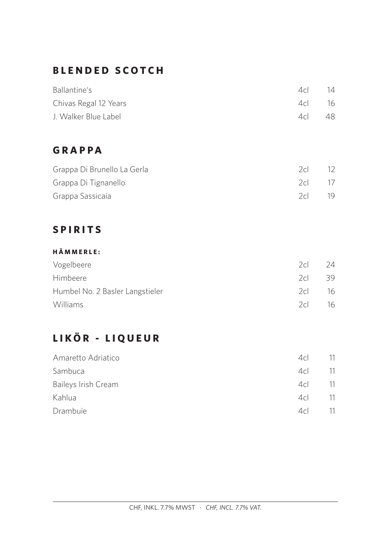# **BLENDED SCOTCH**

| Ballantine's          | 4c <sub>l</sub> | 14 |
|-----------------------|-----------------|----|
| Chivas Regal 12 Years | 4c              | 16 |
| J. Walker Blue Label  | 4c <sub>l</sub> | 48 |

# **GRAPPA**

| Grappa Di Brunello La Gerla | 2c     | 12. |
|-----------------------------|--------|-----|
| Grappa Di Tignanello        | 2cl 17 |     |
| Grappa Sassicaia            | 2c     | 19  |

# **SPIRITS**

#### **HÄMMERLE:**

| Vogelbeere                      | 2c | 24  |
|---------------------------------|----|-----|
| <b>Himbeere</b>                 | 2c | 39. |
| Humbel No. 2 Basler Langstieler | 2c | 16  |
| <b>Williams</b>                 | 2c | 16  |

# **LIKÖR - LIQUEUR**

| Amaretto Adriatico  | 4c | 11  |
|---------------------|----|-----|
| Sambuca             | 4c | -11 |
| Baileys Irish Cream | 4c | -11 |
| Kahlua              | 4c | 11  |
| Drambuie            | 4c | 11  |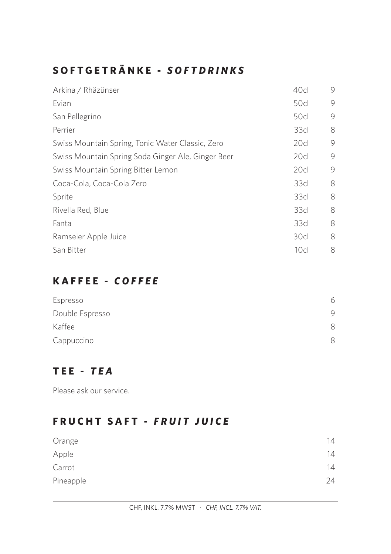# **SOFTGETRÄNKE -** *SOFTDRINKS*

| Arkina / Rhäzünser                                 | 40cl             | 9 |
|----------------------------------------------------|------------------|---|
| Evian                                              | 50cl             | 9 |
| San Pellegrino                                     | 50c              | 9 |
| Perrier                                            | 33 <sub>cl</sub> | 8 |
| Swiss Mountain Spring, Tonic Water Classic, Zero   | 20cl             | 9 |
| Swiss Mountain Spring Soda Ginger Ale, Ginger Beer | 20c              | 9 |
| Swiss Mountain Spring Bitter Lemon                 | 20cl             | 9 |
| Coca-Cola, Coca-Cola Zero                          | 33cl             | 8 |
| Sprite                                             | 33 <sub>cl</sub> | 8 |
| Rivella Red, Blue                                  | 33 <sub>cl</sub> | 8 |
| Fanta                                              | 33cl             | 8 |
| Ramseier Apple Juice                               | 30cl             | 8 |
| San Bitter                                         | 10 <sub>cl</sub> | 8 |

### **KAFFEE -** *COFFEE*

| Espresso        | 6. |
|-----------------|----|
| Double Espresso | 9  |
| Kaffee          |    |
| Cappuccino      |    |

# **TEE -** *TEA*

Please ask our service.

# **FRUCHT SAFT -** *FRUIT JUICE*

| Orange    | 14 |
|-----------|----|
| Apple     | 14 |
| Carrot    | 14 |
| Pineapple | 24 |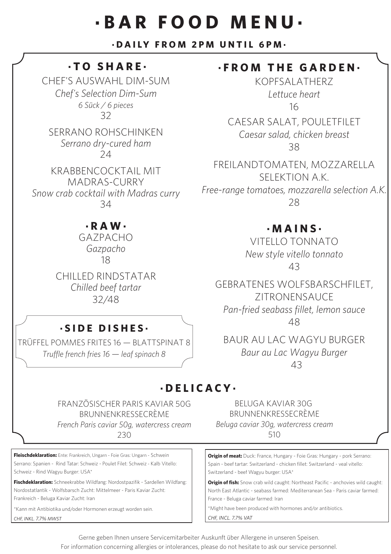# **·BAR FOOD MENU·**

#### **·DAILY FROM 2PM UNTIL 6PM·**

### **·TO SHARE·**

CHEF'S AUSWAHL DIM-SUM *Chef's Selection Dim-Sum 6 Sück / 6 pieces* 32

SERRANO ROHSCHINKEN *Serrano dry-cured ham*  $24$ 

KRABBENCOCKTAIL MIT MADRAS-CURRY *Snow crab cocktail with Madras curry* 34

### **· R A W ·**

GAZPACHO *Gazpacho* 18

CHILLED RINDSTATAR *Chilled beef tartar* 32/48

### **·SIDE DISHES·**

TRÜFFEL POMMES FRITES 16 — BLATTSPINAT 8 *Truffle french fries 16 — leaf spinach 8*

### **·FROM THE GARDEN·**

KOPFSALATHERZ *Lettuce heart* 16

CAESAR SALAT, POULETFILET *Caesar salad, chicken breast*  38

FREILANDTOMATEN, MOZZARELLA SELEKTION A.K. *Free-range tomatoes, mozzarella selection A.K.* 28

### **·MAINS·**

VITELLO TONNATO *New style vitello tonnato* 43

GEBRATENES WOLFSBARSCHFILET, ZITRONENSAUCE *Pan-fried seabass fillet, lemon sauce* 48

BAUR AU LAC WAGYU BURGER *Baur au Lac Wagyu Burger* 43

### **·DELICACY·**

FRANZÖSISCHER PARIS KAVIAR 50G BRUNNENKRESSECRÈME

*French Paris caviar 50g, watercress cream*  230

**Fleischdeklaration:** Ente: Frankreich, Ungarn - Foie Gras: Ungarn - Schwein Serrano: Spanien - Rind Tatar: Schweiz - Poulet Filet: Schweiz - Kalb Vitello: Schweiz - Rind Wagyu Burger: USA\*

**Fischdeklaration:** Schneekrabbe Wildfang: Nordostpazifik - Sardellen Wildfang: Nordostatlantik - Wolfsbarsch Zucht: Mittelmeer - Paris Kaviar Zucht: Frankreich - Beluga Kaviar Zucht: Iran

\*Kann mit Antibiotika und/oder Hormonen erzeugt worden sein. *CHF, INKL. 7.7% MWST*

BELUGA KAVIAR 30G BRUNNENKRESSECRÈME

*Beluga caviar 30g, watercress cream* 

510

**Origin of meat:** Duck: France, Hungary - Foie Gras: Hungary - pork Serrano: Spain - beef tartar: Switzerland - chicken fillet: Switzerland - veal vitello: Switzerland - beef Wagyu burger: USA\*

**Origin of fish:** Snow crab wild caught: Northeast Pacific - anchovies wild caught: North East Atlantic - seabass farmed: Mediterranean Sea - Paris caviar farmed: France - Beluga caviar farmed: Iran

\*Might have been produced with hormones and/or antibiotics.

*CHF, INCL. 7.7% VAT*

Gerne geben Ihnen unsere Servicemitarbeiter Auskunft über Allergene in unseren Speisen.

For information concerning allergies or intolerances, please do not hesitate to ask our service personnel.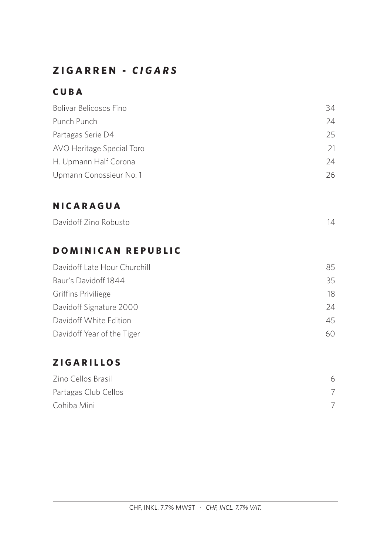# **ZIGARREN -** *CIGARS*

# **CUBA**

| Bolivar Belicosos Fino    | 34  |
|---------------------------|-----|
| Punch Punch               | 24  |
| Partagas Serie D4         | 25  |
| AVO Heritage Special Toro | 21  |
| H. Upmann Half Corona     | 24  |
| Upmann Conossieur No. 1   | 26. |

# **NICARAGUA**

| Davidoff Zino Robusto |
|-----------------------|
|-----------------------|

## **DOMINICAN REPUBLIC**

| Davidoff Late Hour Churchill | 85  |
|------------------------------|-----|
| Baur's Davidoff 1844         | 35  |
| Griffins Priviliege          | 18  |
| Davidoff Signature 2000      | 24  |
| Davidoff White Edition       | 45  |
| Davidoff Year of the Tiger   | 60. |

# **ZIGARILLOS**

| Zino Cellos Brasil   | 6 |
|----------------------|---|
| Partagas Club Cellos |   |
| Cohiba Mini          |   |